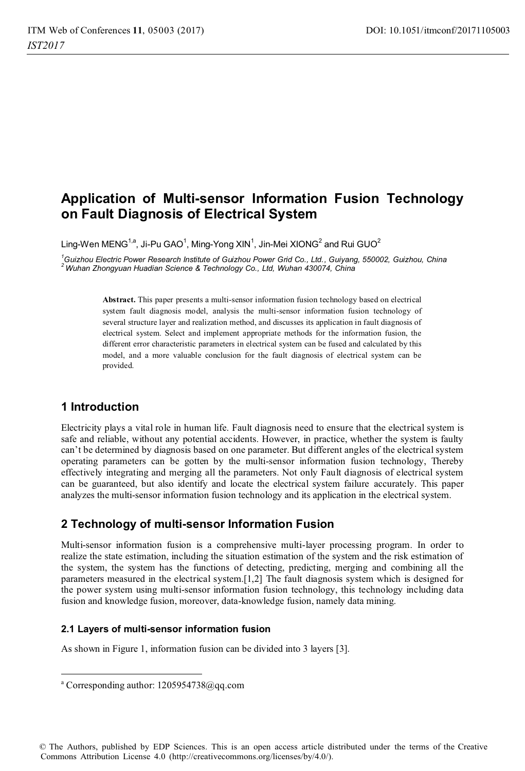# **Application of Multi-sensor Information Fusion Technology on Fault Diagnosis of Electrical System**

Ling-Wen MENG $^{\text{1,a}}$ , Ji-Pu GAO $^{\text{1}}$ , Ming-Yong XIN $^{\text{1}}$ , Jin-Mei XIONG $^{\text{2}}$  and Rui GUO $^{\text{2}}$ 

*1 Guizhou Electric Power Research Institute of Guizhou Power Grid Co., Ltd., Guiyang, 550002, Guizhou, China 2 Wuhan Zhongyuan Huadian Science & Technology Co., Ltd, Wuhan 430074, China* 

> **Abstract.** This paper presents a multi-sensor information fusion technology based on electrical system fault diagnosis model, analysis the multi-sensor information fusion technology of several structure layer and realization method, and discusses its application in fault diagnosis of electrical system. Select and implement appropriate methods for the information fusion, the different error characteristic parameters in electrical system can be fused and calculated by this model, and a more valuable conclusion for the fault diagnosis of electrical system can be provided.

# **1 Introduction**

 $\overline{a}$ 

Electricity plays a vital role in human life. Fault diagnosis need to ensure that the electrical system is safe and reliable, without any potential accidents. However, in practice, whether the system is faulty can't be determined by diagnosis based on one parameter. But different angles of the electrical system operating parameters can be gotten by the multi-sensor information fusion technology, Thereby effectively integrating and merging all the parameters. Not only Fault diagnosis of electrical system can be guaranteed, but also identify and locate the electrical system failure accurately. This paper analyzes the multi-sensor information fusion technology and its application in the electrical system.

# **2 Technology of multi-sensor Information Fusion**

Multi-sensor information fusion is a comprehensive multi-layer processing program. In order to realize the state estimation, including the situation estimation of the system and the risk estimation of the system, the system has the functions of detecting, predicting, merging and combining all the parameters measured in the electrical system.[1,2] The fault diagnosis system which is designed for the power system using multi-sensor information fusion technology, this technology including data fusion and knowledge fusion, moreover, data-knowledge fusion, namely data mining.

### **2.1 Layers of multi-sensor information fusion**

As shown in Figure 1, information fusion can be divided into 3 layers [3].

© The Authors, published by EDP Sciences. This is an open access article distributed under the terms of the Creative Commons Attribution License 4.0 (http://creativecommons.org/licenses/by/4.0/).

a Corresponding author: 1205954738@qq.com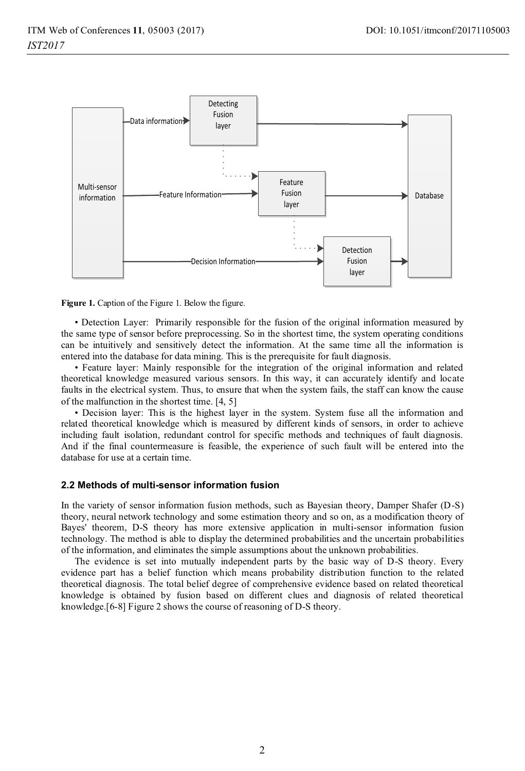

**Figure 1.** Caption of the Figure 1. Below the figure.

• Detection Layer: Primarily responsible for the fusion of the original information measured by the same type of sensor before preprocessing. So in the shortest time, the system operating conditions can be intuitively and sensitively detect the information. At the same time all the information is entered into the database for data mining. This is the prerequisite for fault diagnosis.

• Feature layer: Mainly responsible for the integration of the original information and related theoretical knowledge measured various sensors. In this way, it can accurately identify and locate faults in the electrical system. Thus, to ensure that when the system fails, the staff can know the cause of the malfunction in the shortest time. [4, 5]

• Decision layer: This is the highest layer in the system. System fuse all the information and related theoretical knowledge which is measured by different kinds of sensors, in order to achieve including fault isolation, redundant control for specific methods and techniques of fault diagnosis. And if the final countermeasure is feasible, the experience of such fault will be entered into the database for use at a certain time.

#### **2.2 Methods of multi-sensor information fusion**

In the variety of sensor information fusion methods, such as Bayesian theory, Damper Shafer (D-S) theory, neural network technology and some estimation theory and so on, as a modification theory of Bayes' theorem, D-S theory has more extensive application in multi-sensor information fusion technology. The method is able to display the determined probabilities and the uncertain probabilities of the information, and eliminates the simple assumptions about the unknown probabilities.

The evidence is set into mutually independent parts by the basic way of D-S theory. Every evidence part has a belief function which means probability distribution function to the related theoretical diagnosis. The total belief degree of comprehensive evidence based on related theoretical knowledge is obtained by fusion based on different clues and diagnosis of related theoretical knowledge.[6-8] Figure 2 shows the course of reasoning of D-S theory.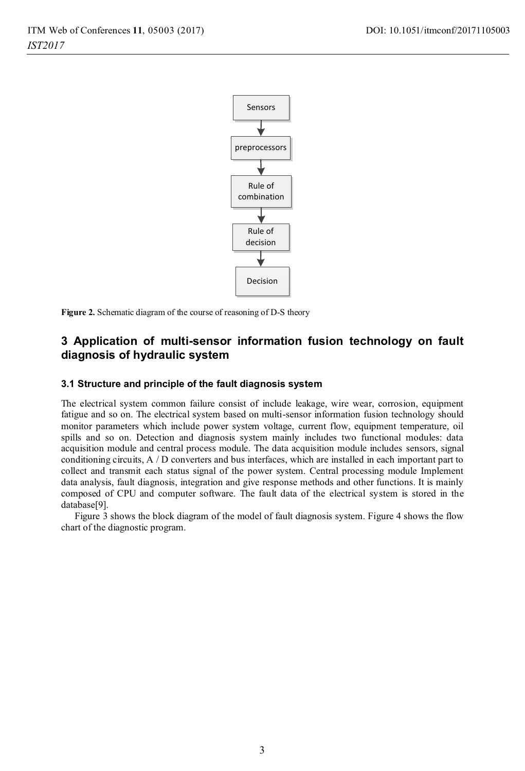

**Figure 2.** Schematic diagram of the course of reasoning of D-S theory

# **3 Application of multi-sensor information fusion technology on fault diagnosis of hydraulic system**

#### **3.1 Structure and principle of the fault diagnosis system**

The electrical system common failure consist of include leakage, wire wear, corrosion, equipment fatigue and so on. The electrical system based on multi-sensor information fusion technology should monitor parameters which include power system voltage, current flow, equipment temperature, oil spills and so on. Detection and diagnosis system mainly includes two functional modules: data acquisition module and central process module. The data acquisition module includes sensors, signal conditioning circuits, A / D converters and bus interfaces, which are installed in each important part to collect and transmit each status signal of the power system. Central processing module Implement data analysis, fault diagnosis, integration and give response methods and other functions. It is mainly composed of CPU and computer software. The fault data of the electrical system is stored in the database[9].

Figure 3 shows the block diagram of the model of fault diagnosis system. Figure 4 shows the flow chart of the diagnostic program.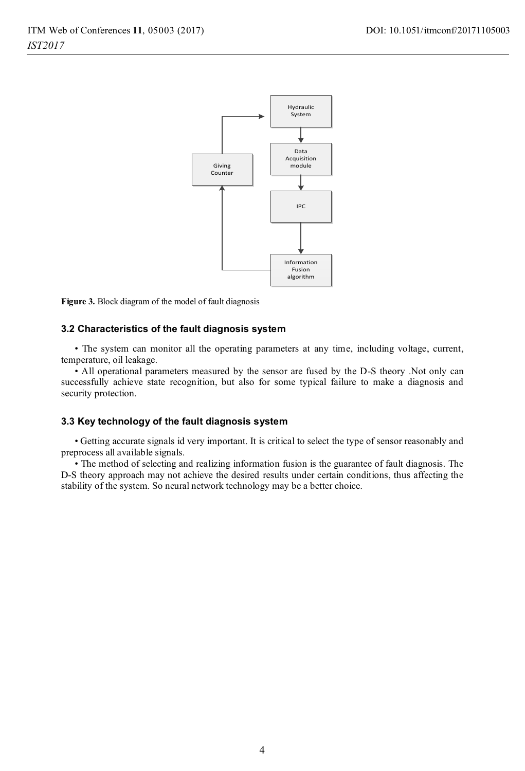

**Figure 3.** Block diagram of the model of fault diagnosis

#### **3.2 Characteristics of the fault diagnosis system**

• The system can monitor all the operating parameters at any time, including voltage, current, temperature, oil leakage.

• All operational parameters measured by the sensor are fused by the D-S theory .Not only can successfully achieve state recognition, but also for some typical failure to make a diagnosis and security protection.

#### **3.3 Key technology of the fault diagnosis system**

• Getting accurate signals id very important. It is critical to select the type of sensor reasonably and preprocess all available signals.

• The method of selecting and realizing information fusion is the guarantee of fault diagnosis. The D-S theory approach may not achieve the desired results under certain conditions, thus affecting the stability of the system. So neural network technology may be a better choice.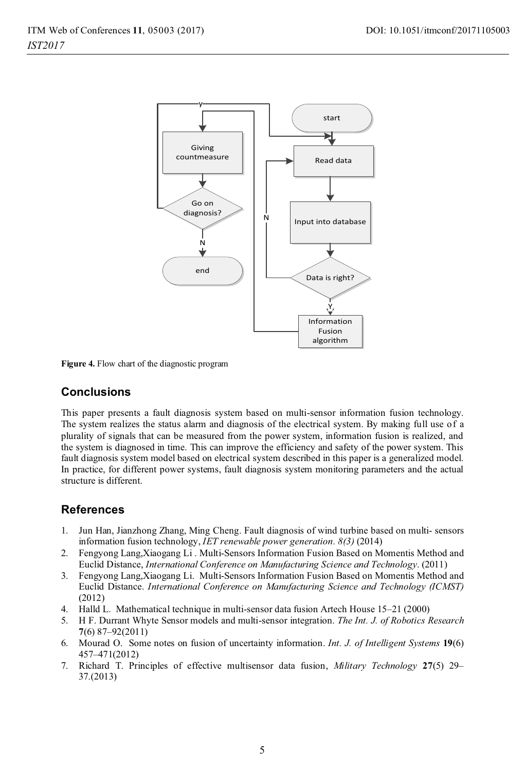

**Figure 4.** Flow chart of the diagnostic program

### **Conclusions**

This paper presents a fault diagnosis system based on multi-sensor information fusion technology. The system realizes the status alarm and diagnosis of the electrical system. By making full use of a plurality of signals that can be measured from the power system, information fusion is realized, and the system is diagnosed in time. This can improve the efficiency and safety of the power system. This fault diagnosis system model based on electrical system described in this paper is a generalized model. In practice, for different power systems, fault diagnosis system monitoring parameters and the actual structure is different.

### **References**

- 1. Jun Han, Jianzhong Zhang, Ming Cheng. Fault diagnosis of wind turbine based on multi- sensors information fusion technology, *IET renewable power generation. 8(3)* (2014)
- 2. Fengyong Lang,Xiaogang Li . Multi-Sensors Information Fusion Based on Momentis Method and Euclid Distance, *International Conference on Manufacturing Science and Technology*. (2011)
- 3. Fengyong Lang,Xiaogang Li. Multi-Sensors Information Fusion Based on Momentis Method and Euclid Distance. *International Conference on Manufacturing Science and Technology (ICMST)* (2012)
- 4. Halld L. Mathematical technique in multi-sensor data fusion Artech House 15–21 (2000)
- 5. H F. Durrant Whyte Sensor models and multi-sensor integration. *The Int. J. of Robotics Research*  **7**(6) 87–92(2011)
- 6. Mourad O. Some notes on fusion of uncertainty information. *Int. J. of Intelligent Systems* **19**(6) 457–471(2012)
- 7. Richard T. Principles of effective multisensor data fusion, *Military Technology* **27**(5) 29– 37.(2013)